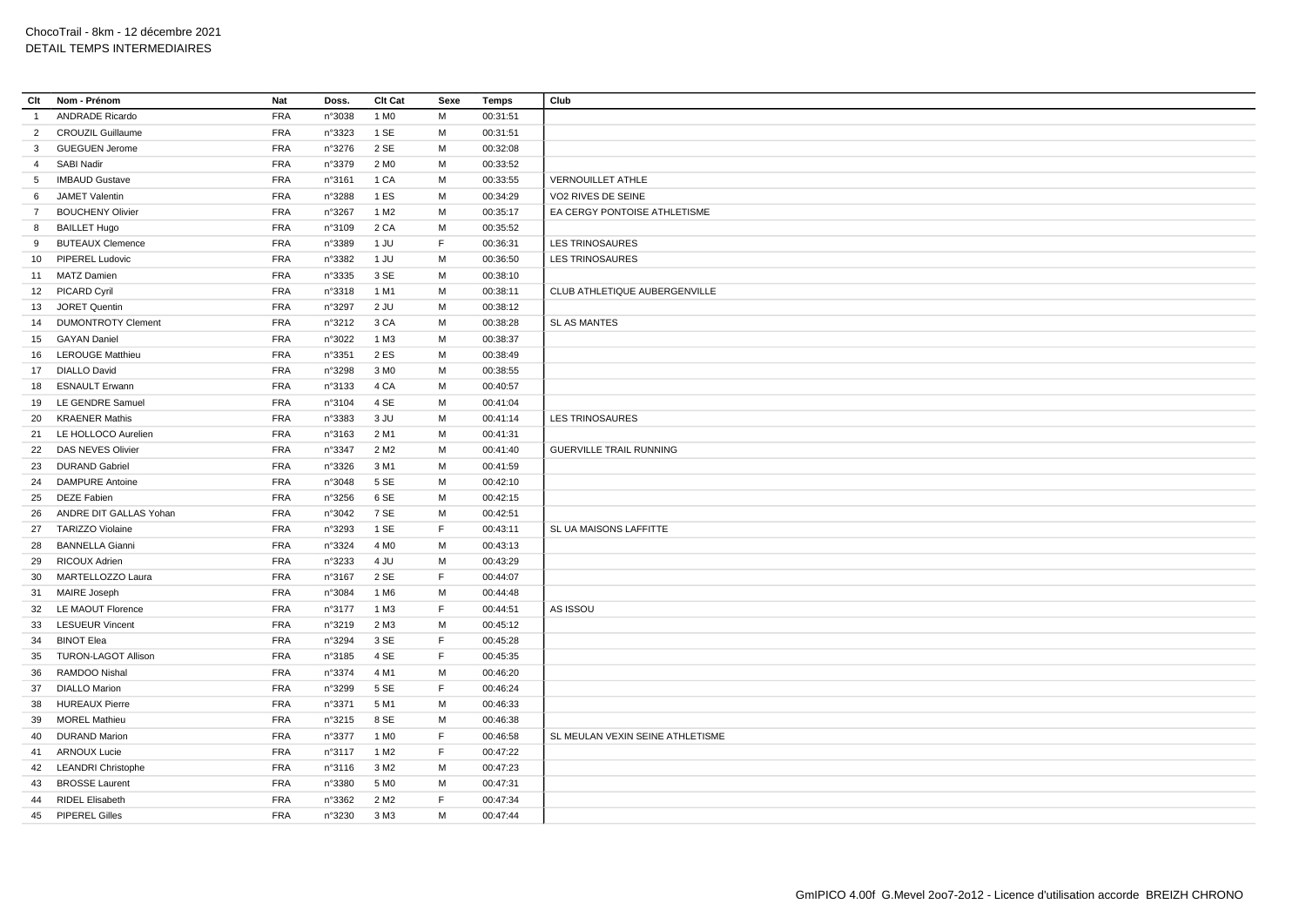| Clt             | Nom - Prénom               | Nat        | Doss.  | Clt Cat          | Sexe        | Temps    | Club                             |
|-----------------|----------------------------|------------|--------|------------------|-------------|----------|----------------------------------|
| $\overline{1}$  | <b>ANDRADE Ricardo</b>     | <b>FRA</b> | n°3038 | 1 M <sub>0</sub> | М           | 00:31:51 |                                  |
| 2               | <b>CROUZIL Guillaume</b>   | <b>FRA</b> | n°3323 | 1 SE             | M           | 00:31:51 |                                  |
| $\mathbf{3}$    | <b>GUEGUEN Jerome</b>      | <b>FRA</b> | n°3276 | 2 SE             | M           | 00:32:08 |                                  |
| $\overline{4}$  | SABI Nadir                 | <b>FRA</b> | n°3379 | 2 M <sub>0</sub> | M           | 00:33:52 |                                  |
| $5\overline{)}$ | <b>IMBAUD Gustave</b>      | <b>FRA</b> | n°3161 | 1 CA             | M           | 00:33:55 | <b>VERNOUILLET ATHLE</b>         |
| 6               | <b>JAMET Valentin</b>      | <b>FRA</b> | n°3288 | 1ES              | M           | 00:34:29 | VO2 RIVES DE SEINE               |
| $\overline{7}$  | <b>BOUCHENY Olivier</b>    | <b>FRA</b> | n°3267 | 1 M <sub>2</sub> | M           | 00:35:17 | EA CERGY PONTOISE ATHLETISME     |
| 8               | <b>BAILLET Hugo</b>        | <b>FRA</b> | n°3109 | 2 CA             | M           | 00:35:52 |                                  |
| 9               | <b>BUTEAUX Clemence</b>    | <b>FRA</b> | n°3389 | 1 JU             | F           | 00:36:31 | <b>LES TRINOSAURES</b>           |
| 10              | PIPEREL Ludovic            | <b>FRA</b> | n°3382 | 1 JU             | M           | 00:36:50 | <b>LES TRINOSAURES</b>           |
| 11              | <b>MATZ Damien</b>         | <b>FRA</b> | n°3335 | 3 SE             | M           | 00:38:10 |                                  |
|                 | 12 PICARD Cyril            | <b>FRA</b> | n°3318 | 1 M1             | M           | 00:38:11 | CLUB ATHLETIQUE AUBERGENVILLE    |
|                 | 13 JORET Quentin           | FRA        | n°3297 | 2 JU             | M           | 00:38:12 |                                  |
| 14              | <b>DUMONTROTY Clement</b>  | <b>FRA</b> | n°3212 | 3 CA             | M           | 00:38:28 | <b>SL AS MANTES</b>              |
| 15              | <b>GAYAN Daniel</b>        | <b>FRA</b> | n°3022 | 1 M3             | M           | 00:38:37 |                                  |
|                 | 16 LEROUGE Matthieu        | <b>FRA</b> | n°3351 | 2 ES             | M           | 00:38:49 |                                  |
| 17              | <b>DIALLO David</b>        | <b>FRA</b> | n°3298 | 3 M <sub>0</sub> | M           | 00:38:55 |                                  |
| 18              | <b>ESNAULT Erwann</b>      | <b>FRA</b> | n°3133 | 4 CA             | M           | 00:40:57 |                                  |
| 19              | LE GENDRE Samuel           | FRA        | n°3104 | 4 SE             | M           | 00:41:04 |                                  |
| 20              | <b>KRAENER Mathis</b>      | <b>FRA</b> | n°3383 | 3 JU             | М           | 00:41:14 | <b>LES TRINOSAURES</b>           |
|                 | 21 LE HOLLOCO Aurelien     | <b>FRA</b> | n°3163 | 2 M1             | M           | 00:41:31 |                                  |
| 22              | DAS NEVES Olivier          | <b>FRA</b> | n°3347 | 2 M <sub>2</sub> | M           | 00:41:40 | <b>GUERVILLE TRAIL RUNNING</b>   |
| 23              | <b>DURAND Gabriel</b>      | FRA        | n°3326 | 3 M1             | M           | 00:41:59 |                                  |
| 24              | <b>DAMPURE Antoine</b>     | <b>FRA</b> | n°3048 | 5 SE             | М           | 00:42:10 |                                  |
| 25              | <b>DEZE Fabien</b>         | <b>FRA</b> | n°3256 | 6 SE             | M           | 00:42:15 |                                  |
|                 | 26 ANDRE DIT GALLAS Yohan  | <b>FRA</b> | n°3042 | 7 SE             | M           | 00:42:51 |                                  |
| 27              | <b>TARIZZO Violaine</b>    | <b>FRA</b> | n°3293 | 1 SE             | F.          | 00:43:11 | SL UA MAISONS LAFFITTE           |
| 28              | <b>BANNELLA Gianni</b>     | FRA        | n°3324 | 4 M <sub>0</sub> | M           | 00:43:13 |                                  |
| 29              | <b>RICOUX Adrien</b>       | <b>FRA</b> | n°3233 | 4 JU             | M           | 00:43:29 |                                  |
| 30              | MARTELLOZZO Laura          | <b>FRA</b> | n°3167 | 2 SE             | F           | 00:44:07 |                                  |
| 31              | MAIRE Joseph               | <b>FRA</b> | n°3084 | 1 M <sub>6</sub> | M           | 00:44:48 |                                  |
| 32              | <b>LE MAOUT Florence</b>   | <b>FRA</b> | n°3177 | 1 M3             | F           | 00:44:51 | AS ISSOU                         |
| 33              | <b>LESUEUR Vincent</b>     | <b>FRA</b> | n°3219 | 2 M3             | М           | 00:45:12 |                                  |
| 34              | <b>BINOT Elea</b>          | <b>FRA</b> | n°3294 | 3 SE             | $\mathsf F$ | 00:45:28 |                                  |
| 35              | <b>TURON-LAGOT Allison</b> | <b>FRA</b> | n°3185 | 4 SE             | F           | 00:45:35 |                                  |
| 36              | RAMDOO Nishal              | <b>FRA</b> | n°3374 | 4 M1             | M           | 00:46:20 |                                  |
| 37              | <b>DIALLO Marion</b>       | <b>FRA</b> | n°3299 | 5 SE             | F           | 00:46:24 |                                  |
| 38              | <b>HUREAUX Pierre</b>      | <b>FRA</b> | n°3371 | 5 M1             | M           | 00:46:33 |                                  |
| 39              | <b>MOREL Mathieu</b>       | <b>FRA</b> | n°3215 | 8 SE             | М           | 00:46:38 |                                  |
| 40              | <b>DURAND Marion</b>       | <b>FRA</b> | n°3377 | 1 M <sub>0</sub> | F           | 00:46:58 | SL MEULAN VEXIN SEINE ATHLETISME |
| 41              | <b>ARNOUX Lucie</b>        | <b>FRA</b> | n°3117 | 1 M <sub>2</sub> | F           | 00:47:22 |                                  |
| 42              | <b>LEANDRI Christophe</b>  | FRA        | n°3116 | 3 M <sub>2</sub> | M           | 00:47:23 |                                  |
| 43              | <b>BROSSE Laurent</b>      | <b>FRA</b> | n°3380 | 5 M <sub>0</sub> | M           | 00:47:31 |                                  |
| 44              | <b>RIDEL Elisabeth</b>     | <b>FRA</b> | n°3362 | 2 M <sub>2</sub> | F           | 00:47:34 |                                  |
|                 | 45 PIPEREL Gilles          | <b>FRA</b> | n°3230 | 3 M3             | M           | 00:47:44 |                                  |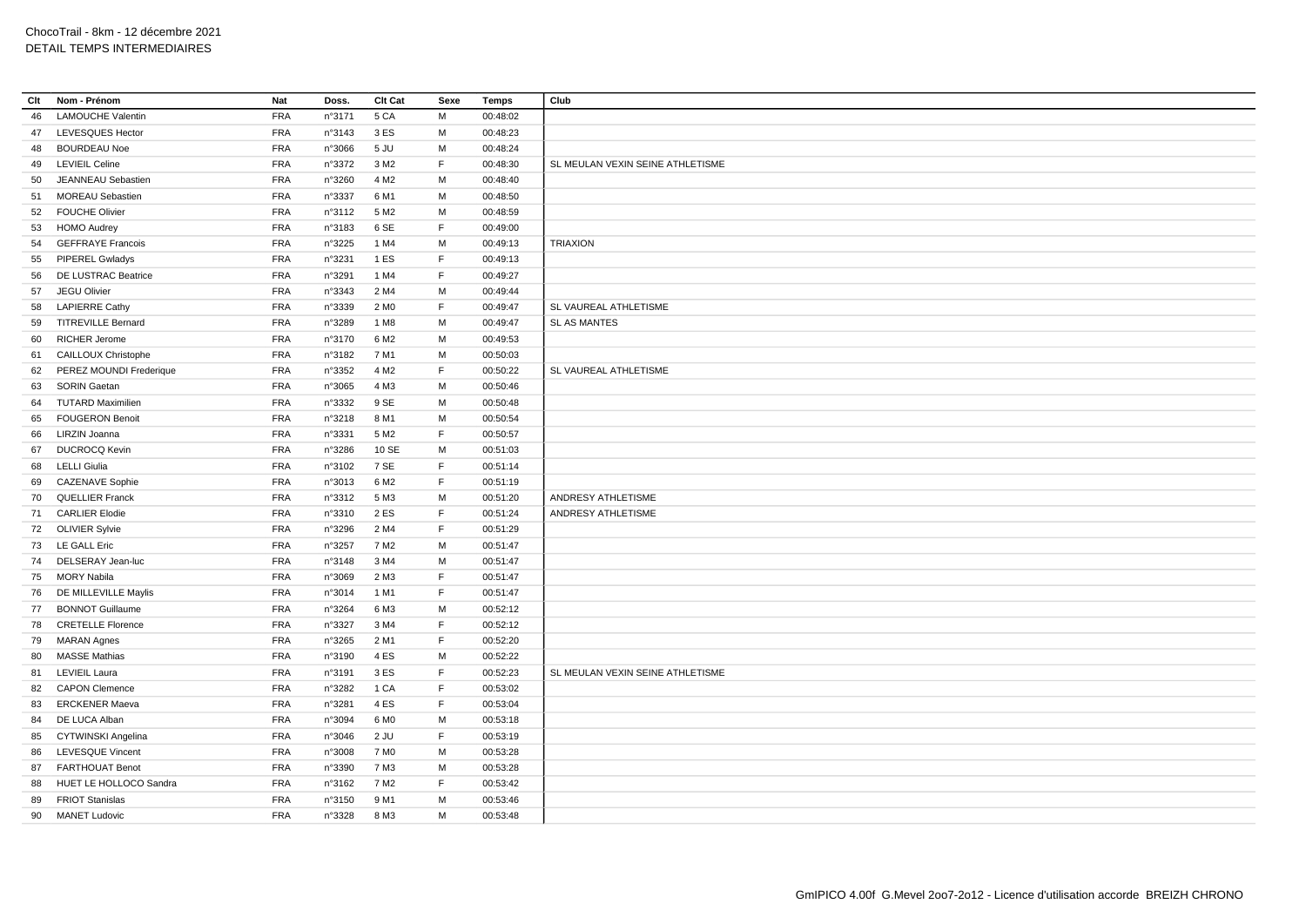| Clt | Nom - Prénom             | Nat        | Doss.  | Clt Cat          | Sexe        | <b>Temps</b> | Club                             |
|-----|--------------------------|------------|--------|------------------|-------------|--------------|----------------------------------|
| 46  | <b>LAMOUCHE Valentin</b> | <b>FRA</b> | n°3171 | 5 CA             | M           | 00:48:02     |                                  |
| 47  | LEVESQUES Hector         | FRA        | n°3143 | 3 ES             | M           | 00:48:23     |                                  |
| 48  | <b>BOURDEAU Noe</b>      | FRA        | n°3066 | 5 JU             | M           | 00:48:24     |                                  |
| 49  | <b>LEVIEIL Celine</b>    | <b>FRA</b> | n°3372 | 3 M <sub>2</sub> | F           | 00:48:30     | SL MEULAN VEXIN SEINE ATHLETISME |
| 50  | JEANNEAU Sebastien       | <b>FRA</b> | n°3260 | 4 M <sub>2</sub> | M           | 00:48:40     |                                  |
| 51  | <b>MOREAU</b> Sebastien  | <b>FRA</b> | n°3337 | 6 M1             | М           | 00:48:50     |                                  |
| 52  | <b>FOUCHE Olivier</b>    | <b>FRA</b> | n°3112 | 5 M <sub>2</sub> | M           | 00:48:59     |                                  |
| 53  | <b>HOMO Audrey</b>       | <b>FRA</b> | n°3183 | 6 SE             | F.          | 00:49:00     |                                  |
| 54  | <b>GEFFRAYE Francois</b> | <b>FRA</b> | n°3225 | 1 M4             | M           | 00:49:13     | <b>TRIAXION</b>                  |
| 55  | <b>PIPEREL Gwladys</b>   | <b>FRA</b> | n°3231 | 1 ES             | F           | 00:49:13     |                                  |
| 56  | DE LUSTRAC Beatrice      | <b>FRA</b> | n°3291 | 1 M4             | F           | 00:49:27     |                                  |
| 57  | JEGU Olivier             | <b>FRA</b> | n°3343 | 2 M4             | M           | 00:49:44     |                                  |
| 58  | <b>LAPIERRE Cathy</b>    | <b>FRA</b> | n°3339 | 2 M <sub>0</sub> | F           | 00:49:47     | SL VAUREAL ATHLETISME            |
|     | 59 TITREVILLE Bernard    | <b>FRA</b> | n°3289 | 1 M <sub>8</sub> | M           | 00:49:47     | <b>SL AS MANTES</b>              |
| 60  | <b>RICHER Jerome</b>     | <b>FRA</b> | n°3170 | 6 M <sub>2</sub> | M           | 00:49:53     |                                  |
| 61  | CAILLOUX Christophe      | <b>FRA</b> | n°3182 | 7 M1             | M           | 00:50:03     |                                  |
| 62  | PEREZ MOUNDI Frederique  | <b>FRA</b> | n°3352 | 4 M <sub>2</sub> | F.          | 00:50:22     | SL VAUREAL ATHLETISME            |
| 63  | <b>SORIN Gaetan</b>      | <b>FRA</b> | n°3065 | 4 M3             | M           | 00:50:46     |                                  |
| 64  | <b>TUTARD Maximilien</b> | <b>FRA</b> | n°3332 | 9 SE             | M           | 00:50:48     |                                  |
| 65  | <b>FOUGERON Benoit</b>   | <b>FRA</b> | n°3218 | 8 M1             | M           | 00:50:54     |                                  |
| 66  | LIRZIN Joanna            | <b>FRA</b> | n°3331 | 5 M <sub>2</sub> | F           | 00:50:57     |                                  |
| 67  | <b>DUCROCQ Kevin</b>     | <b>FRA</b> | n°3286 | 10 SE            | M           | 00:51:03     |                                  |
| 68  | <b>LELLI Giulia</b>      | <b>FRA</b> | n°3102 | 7 SE             | F           | 00:51:14     |                                  |
| 69  | <b>CAZENAVE Sophie</b>   | <b>FRA</b> | n°3013 | 6 M <sub>2</sub> | F           | 00:51:19     |                                  |
|     | 70 QUELLIER Franck       | <b>FRA</b> | n°3312 | 5 M3             | M           | 00:51:20     | ANDRESY ATHLETISME               |
|     | 71 CARLIER Elodie        | <b>FRA</b> | n°3310 | 2 ES             | F.          | 00:51:24     | ANDRESY ATHLETISME               |
|     | 72 OLIVIER Sylvie        | FRA        | n°3296 | 2 M4             | F           | 00:51:29     |                                  |
|     | 73 LE GALL Eric          | <b>FRA</b> | n°3257 | 7 M <sub>2</sub> | M           | 00:51:47     |                                  |
| 74  | DELSERAY Jean-luc        | FRA        | n°3148 | 3 M4             | M           | 00:51:47     |                                  |
| 75  | <b>MORY Nabila</b>       | FRA        | n°3069 | 2 M3             | F           | 00:51:47     |                                  |
| 76  | DE MILLEVILLE Maylis     | <b>FRA</b> | n°3014 | 1 M1             | F           | 00:51:47     |                                  |
| 77  | <b>BONNOT Guillaume</b>  | FRA        | n°3264 | 6 M3             | M           | 00:52:12     |                                  |
| 78  | <b>CRETELLE Florence</b> | <b>FRA</b> | n°3327 | 3 M4             | $\mathsf F$ | 00:52:12     |                                  |
|     | 79 MARAN Agnes           | <b>FRA</b> | n°3265 | 2 M1             | F           | 00:52:20     |                                  |
| 80  | <b>MASSE Mathias</b>     | <b>FRA</b> | n°3190 | 4 ES             | M           | 00:52:22     |                                  |
| 81  | <b>LEVIEIL Laura</b>     | FRA        | n°3191 | 3 ES             | $\mathsf F$ | 00:52:23     | SL MEULAN VEXIN SEINE ATHLETISME |
| 82  | <b>CAPON Clemence</b>    | <b>FRA</b> | n°3282 | 1 CA             | F           | 00:53:02     |                                  |
| 83  | <b>ERCKENER Maeva</b>    | <b>FRA</b> | n°3281 | 4 ES             | F.          | 00:53:04     |                                  |
| 84  | DE LUCA Alban            | FRA        | n°3094 | 6 M <sub>0</sub> | M           | 00:53:18     |                                  |
| 85  | CYTWINSKI Angelina       | <b>FRA</b> | n°3046 | 2 JU             | F.          | 00:53:19     |                                  |
| 86  | <b>LEVESQUE Vincent</b>  | FRA        | n°3008 | 7 M <sub>0</sub> | M           | 00:53:28     |                                  |
| 87  | <b>FARTHOUAT Benot</b>   | <b>FRA</b> | n°3390 | 7 M3             | M           | 00:53:28     |                                  |
| 88  | HUET LE HOLLOCO Sandra   | FRA        | n°3162 | 7 M <sub>2</sub> | F           | 00:53:42     |                                  |
| 89  | <b>FRIOT Stanislas</b>   | <b>FRA</b> | n°3150 | 9 M1             | M           | 00:53:46     |                                  |
| 90  | <b>MANET Ludovic</b>     | <b>FRA</b> | n°3328 | 8 M3             | M           | 00:53:48     |                                  |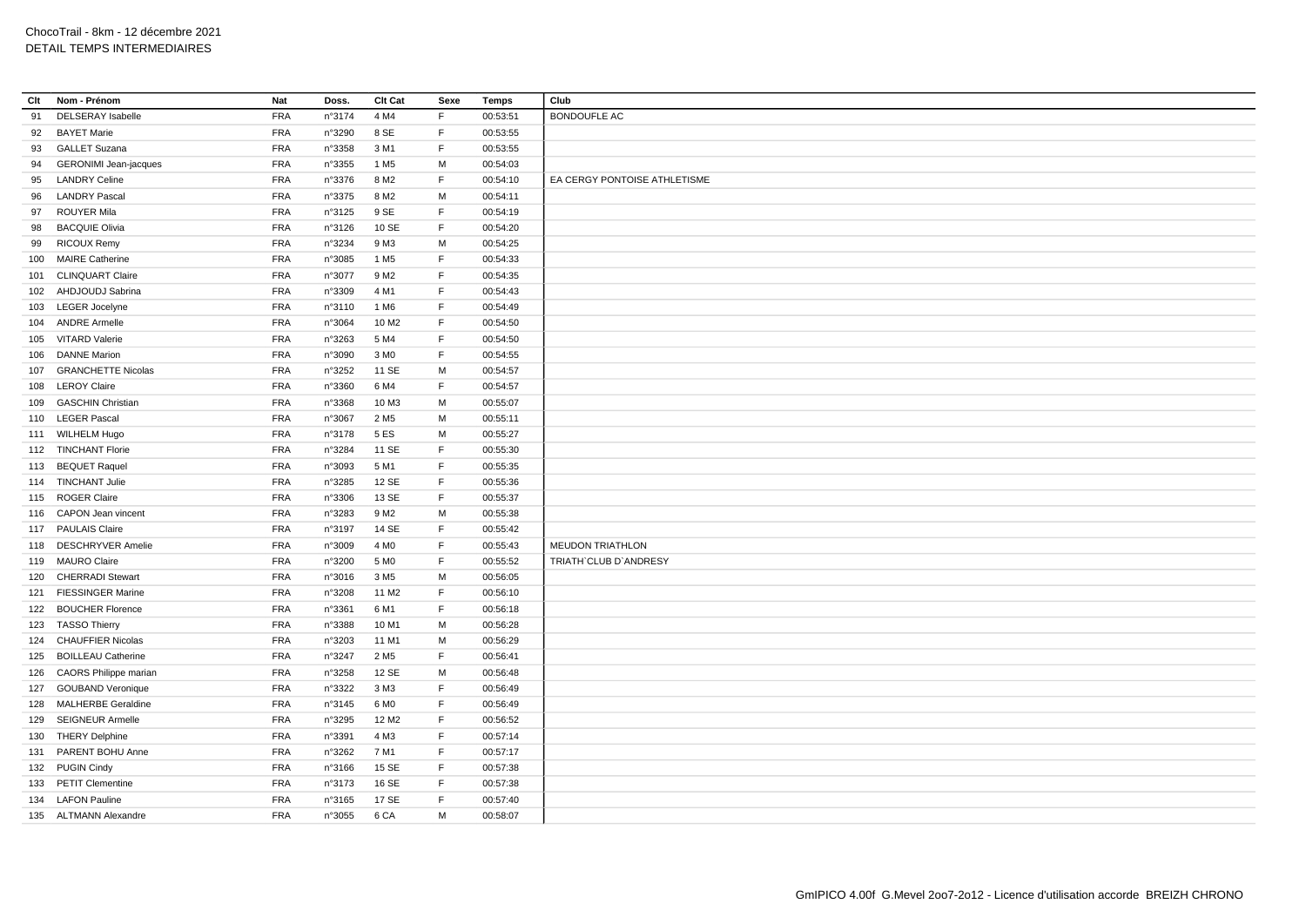| Clt | Nom - Prénom                 | Nat        | Doss.  | Clt Cat           | Sexe        | <b>Temps</b> | Club                         |
|-----|------------------------------|------------|--------|-------------------|-------------|--------------|------------------------------|
| 91  | <b>DELSERAY</b> Isabelle     | <b>FRA</b> | n°3174 | 4 M4              | F           | 00:53:51     | <b>BONDOUFLE AC</b>          |
| 92  | <b>BAYET Marie</b>           | <b>FRA</b> | n°3290 | 8 SE              | F           | 00:53:55     |                              |
| 93  | <b>GALLET Suzana</b>         | <b>FRA</b> | n°3358 | 3 M1              | F           | 00:53:55     |                              |
| 94  | <b>GERONIMI</b> Jean-jacques | <b>FRA</b> | n°3355 | 1 M <sub>5</sub>  | M           | 00:54:03     |                              |
| 95  | <b>LANDRY Celine</b>         | <b>FRA</b> | n°3376 | 8 M <sub>2</sub>  | F           | 00:54:10     | EA CERGY PONTOISE ATHLETISME |
| 96  | <b>LANDRY Pascal</b>         | <b>FRA</b> | n°3375 | 8 M <sub>2</sub>  | M           | 00:54:11     |                              |
| 97  | <b>ROUYER Mila</b>           | <b>FRA</b> | n°3125 | 9 SE              | F           | 00:54:19     |                              |
|     | <b>BACQUIE Olivia</b>        | <b>FRA</b> |        | 10 SE             | F.          | 00:54:20     |                              |
| 98  |                              |            | n°3126 |                   |             |              |                              |
| 99  | <b>RICOUX Remy</b>           | FRA        | n°3234 | 9 M3              | M           | 00:54:25     |                              |
| 100 | <b>MAIRE Catherine</b>       | <b>FRA</b> | n°3085 | 1 M <sub>5</sub>  | F           | 00:54:33     |                              |
| 101 | <b>CLINQUART Claire</b>      | <b>FRA</b> | n°3077 | 9 M <sub>2</sub>  | E           | 00:54:35     |                              |
|     | 102 AHDJOUDJ Sabrina         | <b>FRA</b> | n°3309 | 4 M1              | F           | 00:54:43     |                              |
|     | 103 LEGER Jocelyne           | <b>FRA</b> | n°3110 | 1 M <sub>6</sub>  | F           | 00:54:49     |                              |
|     | 104 ANDRE Armelle            | FRA        | n°3064 | 10 M <sub>2</sub> | F           | 00:54:50     |                              |
|     | 105 VITARD Valerie           | <b>FRA</b> | n°3263 | 5 M4              | F           | 00:54:50     |                              |
|     | 106 DANNE Marion             | <b>FRA</b> | n°3090 | 3 M <sub>0</sub>  | $\mathsf F$ | 00:54:55     |                              |
|     | 107 GRANCHETTE Nicolas       | <b>FRA</b> | n°3252 | 11 SE             | M           | 00:54:57     |                              |
|     | 108 LEROY Claire             | <b>FRA</b> | n°3360 | 6 M4              | F           | 00:54:57     |                              |
|     | 109 GASCHIN Christian        | <b>FRA</b> | n°3368 | 10 M3             | M           | 00:55:07     |                              |
|     | 110 LEGER Pascal             | <b>FRA</b> | n°3067 | 2 M <sub>5</sub>  | M           | 00:55:11     |                              |
|     | 111 WILHELM Hugo             | <b>FRA</b> | n°3178 | 5 ES              | м           | 00:55:27     |                              |
|     | 112 TINCHANT Florie          | <b>FRA</b> | n°3284 | 11 SE             | F           | 00:55:30     |                              |
|     | 113 BEQUET Raquel            | <b>FRA</b> | n°3093 | 5 M1              | F.          | 00:55:35     |                              |
|     | 114 TINCHANT Julie           | <b>FRA</b> | n°3285 | 12 SE             | F           | 00:55:36     |                              |
|     | 115 ROGER Claire             | <b>FRA</b> | n°3306 | 13 SE             | F           | 00:55:37     |                              |
|     | 116 CAPON Jean vincent       | <b>FRA</b> | n°3283 | 9 M <sub>2</sub>  | M           | 00:55:38     |                              |
|     | 117 PAULAIS Claire           | <b>FRA</b> | n°3197 | 14 SE             | F.          | 00:55:42     |                              |
|     | 118 DESCHRYVER Amelie        | <b>FRA</b> | n°3009 | 4 M <sub>0</sub>  | E           | 00:55:43     | <b>MEUDON TRIATHLON</b>      |
|     | 119 MAURO Claire             | <b>FRA</b> | n°3200 | 5 M <sub>0</sub>  | $\mathsf F$ | 00:55:52     | TRIATH'CLUB D'ANDRESY        |
| 120 | <b>CHERRADI Stewart</b>      | <b>FRA</b> | n°3016 | 3 M <sub>5</sub>  | M           | 00:56:05     |                              |
| 121 | <b>FIESSINGER Marine</b>     | <b>FRA</b> | n°3208 | 11 M <sub>2</sub> | F           | 00:56:10     |                              |
|     | 122 BOUCHER Florence         | <b>FRA</b> | n°3361 | 6 M1              | F           | 00:56:18     |                              |
|     | 123 TASSO Thierry            | <b>FRA</b> | n°3388 | 10 M1             | М           | 00:56:28     |                              |
|     | 124 CHAUFFIER Nicolas        | <b>FRA</b> | n°3203 | 11 M1             | M           | 00:56:29     |                              |
|     | 125 BOILLEAU Catherine       | <b>FRA</b> | n°3247 | 2 M <sub>5</sub>  | $\mathsf F$ | 00:56:41     |                              |
|     | 126 CAORS Philippe marian    | <b>FRA</b> | n°3258 | 12 SE             | M           | 00:56:48     |                              |
|     | 127 GOUBAND Veronique        | <b>FRA</b> | n°3322 | 3 M3              | F           | 00:56:49     |                              |
| 128 | <b>MALHERBE Geraldine</b>    | <b>FRA</b> | n°3145 | 6 M <sub>0</sub>  | F.          | 00:56:49     |                              |
|     | 129 SEIGNEUR Armelle         | <b>FRA</b> | n°3295 | 12 M <sub>2</sub> | F           | 00:56:52     |                              |
| 130 | <b>THERY Delphine</b>        | <b>FRA</b> | n°3391 | 4 M3              | F           | 00:57:14     |                              |
|     |                              |            |        |                   | F           |              |                              |
|     | 131 PARENT BOHU Anne         | <b>FRA</b> | n°3262 | 7 M1              |             | 00:57:17     |                              |
|     | 132 PUGIN Cindy              | <b>FRA</b> | n°3166 | 15 SE             | F           | 00:57:38     |                              |
|     | 133 PETIT Clementine         | <b>FRA</b> | n°3173 | 16 SE             | F           | 00:57:38     |                              |
|     | 134 LAFON Pauline            | <b>FRA</b> | n°3165 | 17 SE             | E           | 00:57:40     |                              |
|     | 135 ALTMANN Alexandre        | <b>FRA</b> | n°3055 | 6 CA              | M           | 00:58:07     |                              |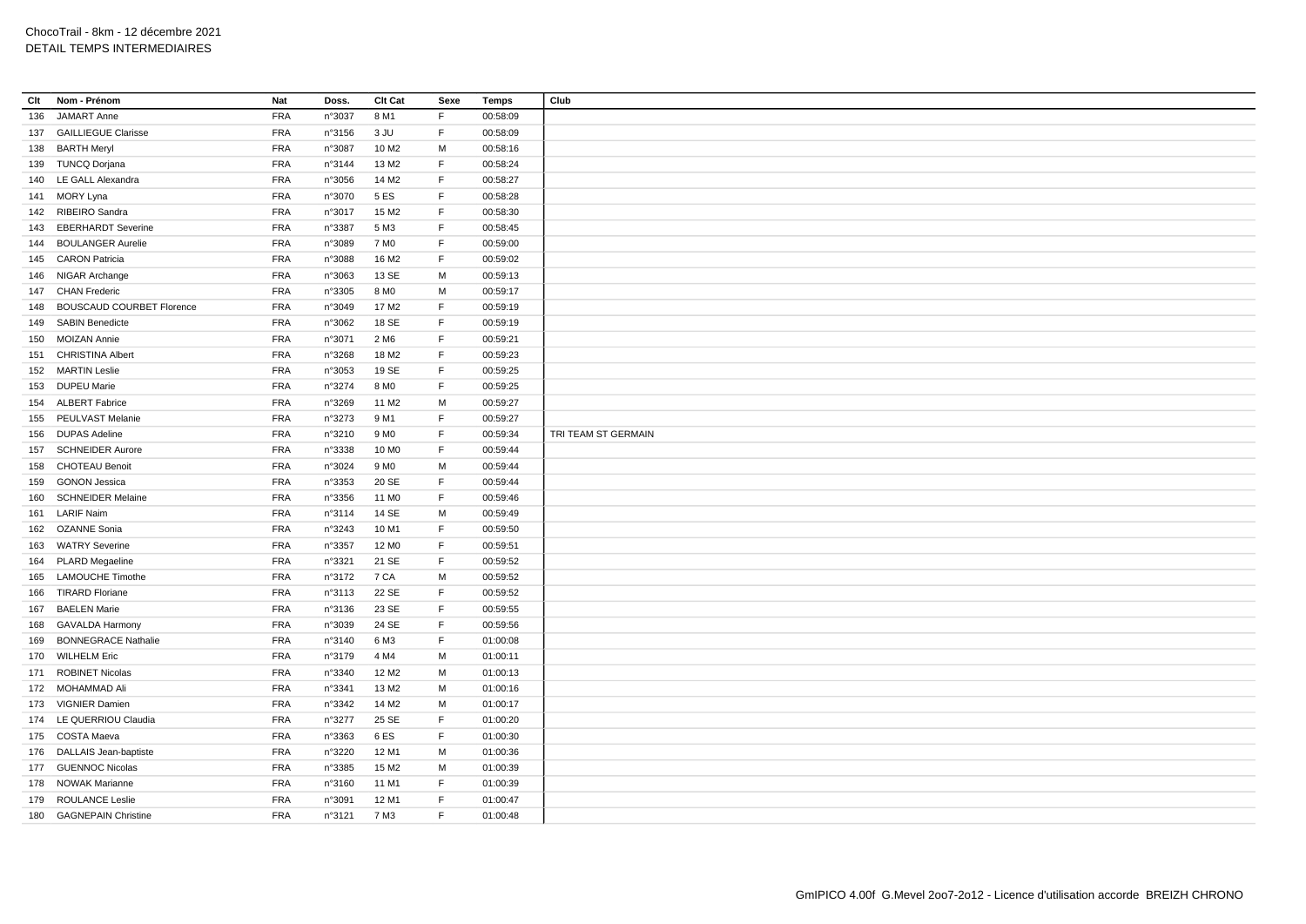| Clt | Nom - Prénom                                  | Nat        | Doss.  | Clt Cat                   | Sexe        | Temps    | Club                |
|-----|-----------------------------------------------|------------|--------|---------------------------|-------------|----------|---------------------|
| 136 | <b>JAMART Anne</b>                            | <b>FRA</b> | n°3037 | 8 M1                      | F.          | 00:58:09 |                     |
|     | 137 GAILLIEGUE Clarisse                       | <b>FRA</b> | n°3156 | 3 JU                      | F           | 00:58:09 |                     |
| 138 | <b>BARTH Meryl</b>                            | <b>FRA</b> | n°3087 | 10 M <sub>2</sub>         | М           | 00:58:16 |                     |
|     | 139 TUNCQ Dorjana                             | <b>FRA</b> | n°3144 | 13 M2                     | $\mathsf F$ | 00:58:24 |                     |
|     | 140 LE GALL Alexandra                         | <b>FRA</b> | n°3056 | 14 M <sub>2</sub>         | F           | 00:58:27 |                     |
|     | 141 MORY Lyna                                 | <b>FRA</b> | n°3070 | 5 ES                      | $\mathsf F$ | 00:58:28 |                     |
|     | 142 RIBEIRO Sandra                            | <b>FRA</b> | n°3017 | 15 M <sub>2</sub>         | F           | 00:58:30 |                     |
| 143 | <b>EBERHARDT Severine</b>                     | <b>FRA</b> | n°3387 | 5 M3                      | F           | 00:58:45 |                     |
|     | 144 BOULANGER Aurelie                         | <b>FRA</b> | n°3089 | 7 M <sub>0</sub>          | F           | 00:59:00 |                     |
|     | 145 CARON Patricia                            | <b>FRA</b> | n°3088 | 16 M <sub>2</sub>         | F           | 00:59:02 |                     |
|     | 146 NIGAR Archange                            | <b>FRA</b> | n°3063 | 13 SE                     | M           | 00:59:13 |                     |
| 147 | <b>CHAN Frederic</b>                          | <b>FRA</b> | n°3305 | 8 M <sub>0</sub>          | М           | 00:59:17 |                     |
| 148 | <b>BOUSCAUD COURBET Florence</b>              | <b>FRA</b> | n°3049 | 17 M2                     | F           | 00:59:19 |                     |
| 149 | <b>SABIN Benedicte</b>                        | <b>FRA</b> | n°3062 | 18 SE                     | F           | 00:59:19 |                     |
| 150 | <b>MOIZAN Annie</b>                           | <b>FRA</b> | n°3071 | 2 M <sub>6</sub>          | F           | 00:59:21 |                     |
| 151 | <b>CHRISTINA Albert</b>                       | <b>FRA</b> | n°3268 | 18 M2                     | F           | 00:59:23 |                     |
|     | 152 MARTIN Leslie                             | <b>FRA</b> | n°3053 | 19 SE                     | F           | 00:59:25 |                     |
|     | 153 DUPEU Marie                               | <b>FRA</b> | n°3274 | 8 M <sub>0</sub>          | F           | 00:59:25 |                     |
|     | 154 ALBERT Fabrice                            | <b>FRA</b> | n°3269 | 11 M <sub>2</sub>         | м           | 00:59:27 |                     |
|     | 155 PEULVAST Melanie                          | <b>FRA</b> | n°3273 | 9 M1                      | F           | 00:59:27 |                     |
|     | <b>DUPAS Adeline</b>                          | <b>FRA</b> | n°3210 | 9 M <sub>0</sub>          | F           | 00:59:34 | TRI TEAM ST GERMAIN |
| 156 | <b>SCHNEIDER Aurore</b>                       | <b>FRA</b> |        | 10 MO                     | F           | 00:59:44 |                     |
| 157 |                                               | <b>FRA</b> | n°3338 |                           |             |          |                     |
| 158 | <b>CHOTEAU Benoit</b><br><b>GONON Jessica</b> | <b>FRA</b> | n°3024 | 9 M <sub>0</sub><br>20 SE | м<br>F      | 00:59:44 |                     |
| 159 |                                               |            | n°3353 |                           | F           | 00:59:44 |                     |
| 160 | <b>SCHNEIDER Melaine</b>                      | <b>FRA</b> | n°3356 | 11 M <sub>0</sub>         |             | 00:59:46 |                     |
|     | 161 LARIF Naim                                | <b>FRA</b> | n°3114 | 14 SE                     | M           | 00:59:49 |                     |
| 162 | <b>OZANNE Sonia</b>                           | <b>FRA</b> | n°3243 | 10 M1                     | F           | 00:59:50 |                     |
|     | 163 WATRY Severine                            | <b>FRA</b> | n°3357 | 12 M <sub>0</sub>         | E           | 00:59:51 |                     |
| 164 | <b>PLARD Megaeline</b>                        | <b>FRA</b> | n°3321 | 21 SE                     | $\mathsf F$ | 00:59:52 |                     |
| 165 | <b>LAMOUCHE Timothe</b>                       | <b>FRA</b> | n°3172 | 7 CA                      | М           | 00:59:52 |                     |
| 166 | <b>TIRARD Floriane</b>                        | <b>FRA</b> | n°3113 | 22 SE                     | F           | 00:59:52 |                     |
| 167 | <b>BAELEN Marie</b>                           | <b>FRA</b> | n°3136 | 23 SE                     | F           | 00:59:55 |                     |
| 168 | <b>GAVALDA Harmony</b>                        | <b>FRA</b> | n°3039 | 24 SE                     | F           | 00:59:56 |                     |
| 169 | <b>BONNEGRACE Nathalie</b>                    | <b>FRA</b> | n°3140 | 6 M3                      | F           | 01:00:08 |                     |
| 170 | <b>WILHELM Eric</b>                           | <b>FRA</b> | n°3179 | 4 M4                      | M           | 01:00:11 |                     |
|     | 171 ROBINET Nicolas                           | <b>FRA</b> | n°3340 | 12 M <sub>2</sub>         | М           | 01:00:13 |                     |
|     | 172 MOHAMMAD Ali                              | <b>FRA</b> | n°3341 | 13 M2                     | м           | 01:00:16 |                     |
|     | 173 VIGNIER Damien                            | <b>FRA</b> | n°3342 | 14 M <sub>2</sub>         | M           | 01:00:17 |                     |
|     | 174 LE QUERRIOU Claudia                       | <b>FRA</b> | n°3277 | 25 SE                     | F           | 01:00:20 |                     |
|     | 175 COSTA Maeva                               | <b>FRA</b> | n°3363 | 6ES                       | F           | 01:00:30 |                     |
|     | 176 DALLAIS Jean-baptiste                     | <b>FRA</b> | n°3220 | 12 M1                     | M           | 01:00:36 |                     |
|     | 177 GUENNOC Nicolas                           | <b>FRA</b> | n°3385 | 15 M2                     | M           | 01:00:39 |                     |
|     | 178 NOWAK Marianne                            | <b>FRA</b> | n°3160 | 11 M1                     | F           | 01:00:39 |                     |
| 179 | <b>ROULANCE Leslie</b>                        | <b>FRA</b> | n°3091 | 12 M1                     | F           | 01:00:47 |                     |
|     | 180 GAGNEPAIN Christine                       | <b>FRA</b> | n°3121 | 7 M3                      | F           | 01:00:48 |                     |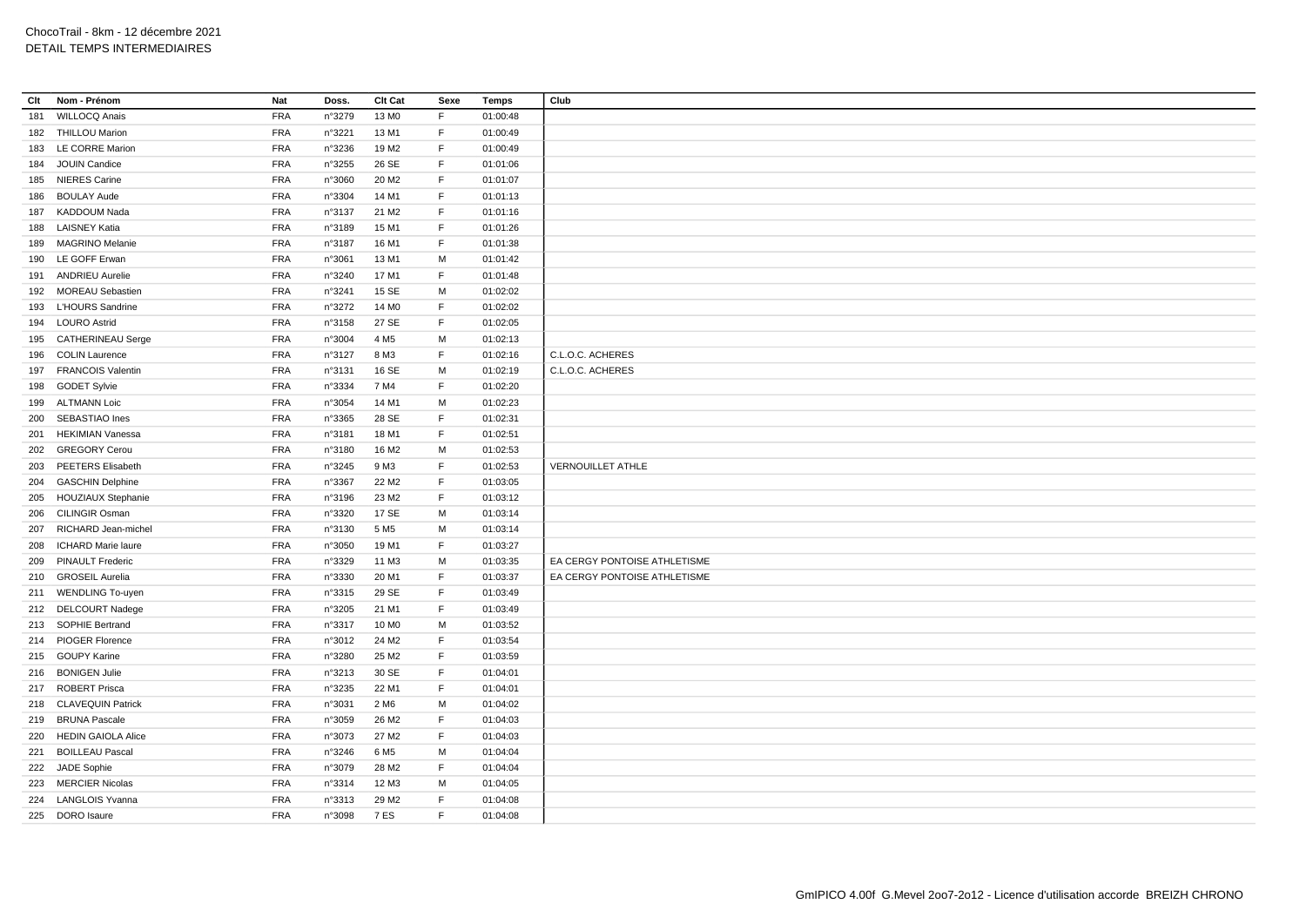| Clt | Nom - Prénom              | Nat        | Doss.  | Clt Cat           | Sexe | Temps    | Club                         |
|-----|---------------------------|------------|--------|-------------------|------|----------|------------------------------|
| 181 | <b>WILLOCQ Anais</b>      | <b>FRA</b> | n°3279 | 13 MO             | F    | 01:00:48 |                              |
|     | 182 THILLOU Marion        | <b>FRA</b> | n°3221 | 13 M1             | F.   | 01:00:49 |                              |
|     | 183 LE CORRE Marion       | FRA        | n°3236 | 19 M <sub>2</sub> | F    | 01:00:49 |                              |
| 184 | JOUIN Candice             | <b>FRA</b> | n°3255 | 26 SE             | F.   | 01:01:06 |                              |
|     | 185 NIERES Carine         | <b>FRA</b> | n°3060 | 20 M <sub>2</sub> | F    | 01:01:07 |                              |
|     | 186 BOULAY Aude           | <b>FRA</b> | n°3304 | 14 M1             | F    | 01:01:13 |                              |
|     | 187 KADDOUM Nada          | FRA        | n°3137 | 21 M <sub>2</sub> | F    | 01:01:16 |                              |
|     | 188 LAISNEY Katia         | <b>FRA</b> | n°3189 | 15 M1             | F    | 01:01:26 |                              |
|     | 189 MAGRINO Melanie       | <b>FRA</b> | n°3187 | 16 M1             | F.   | 01:01:38 |                              |
|     | 190 LE GOFF Erwan         | <b>FRA</b> | n°3061 | 13 M1             | M    | 01:01:42 |                              |
|     | 191 ANDRIEU Aurelie       | <b>FRA</b> | n°3240 | 17 M1             | E    | 01:01:48 |                              |
|     | 192 MOREAU Sebastien      | <b>FRA</b> | n°3241 | 15 SE             | М    | 01:02:02 |                              |
|     | 193 L'HOURS Sandrine      | <b>FRA</b> | n°3272 | 14 M <sub>0</sub> | F    | 01:02:02 |                              |
|     | 194 LOURO Astrid          | <b>FRA</b> | n°3158 | 27 SE             | F    | 01:02:05 |                              |
|     | 195 CATHERINEAU Serge     | <b>FRA</b> | n°3004 | 4 M <sub>5</sub>  | м    | 01:02:13 |                              |
|     | 196 COLIN Laurence        | <b>FRA</b> | n°3127 | 8 M3              | F    | 01:02:16 | C.L.O.C. ACHERES             |
|     | 197 FRANCOIS Valentin     | <b>FRA</b> | n°3131 | 16 SE             | M    | 01:02:19 | C.L.O.C. ACHERES             |
|     | 198 GODET Sylvie          | <b>FRA</b> | n°3334 | 7 M4              | F    | 01:02:20 |                              |
|     | 199 ALTMANN Loic          | <b>FRA</b> | n°3054 | 14 M1             | М    | 01:02:23 |                              |
|     | 200 SEBASTIAO Ines        | <b>FRA</b> | n°3365 | 28 SE             | F    | 01:02:31 |                              |
| 201 | HEKIMIAN Vanessa          | <b>FRA</b> | n°3181 | 18 M1             | F.   | 01:02:51 |                              |
|     | 202 GREGORY Cerou         | <b>FRA</b> | n°3180 | 16 M <sub>2</sub> | М    | 01:02:53 |                              |
|     | 203 PEETERS Elisabeth     | <b>FRA</b> | n°3245 | 9 M3              | F    | 01:02:53 | <b>VERNOUILLET ATHLE</b>     |
|     | 204 GASCHIN Delphine      | <b>FRA</b> | n°3367 | 22 M <sub>2</sub> | F    | 01:03:05 |                              |
| 205 | <b>HOUZIAUX Stephanie</b> | <b>FRA</b> | n°3196 | 23 M <sub>2</sub> | F.   | 01:03:12 |                              |
|     | 206 CILINGIR Osman        | <b>FRA</b> | n°3320 | 17 SE             | М    | 01:03:14 |                              |
| 207 | RICHARD Jean-michel       | <b>FRA</b> | n°3130 | 5 M <sub>5</sub>  | М    | 01:03:14 |                              |
|     | 208 ICHARD Marie laure    | FRA        | n°3050 | 19 M1             | F    | 01:03:27 |                              |
|     | 209 PINAULT Frederic      | <b>FRA</b> | n°3329 | 11 M3             | M    | 01:03:35 | EA CERGY PONTOISE ATHLETISME |
|     | 210 GROSEIL Aurelia       | <b>FRA</b> | n°3330 | 20 M1             | F    | 01:03:37 | EA CERGY PONTOISE ATHLETISME |
|     | 211 WENDLING To-uyen      | <b>FRA</b> | n°3315 | 29 SE             | F    | 01:03:49 |                              |
|     | 212 DELCOURT Nadege       | <b>FRA</b> | n°3205 | 21 M1             | F    | 01:03:49 |                              |
|     | 213 SOPHIE Bertrand       | <b>FRA</b> | n°3317 | 10 MO             | М    | 01:03:52 |                              |
|     | 214 PIOGER Florence       | <b>FRA</b> | n°3012 | 24 M <sub>2</sub> | F.   | 01:03:54 |                              |
|     | 215 GOUPY Karine          | <b>FRA</b> | n°3280 | 25 M2             | F    | 01:03:59 |                              |
|     | 216 BONIGEN Julie         | <b>FRA</b> | n°3213 | 30 SE             | F    | 01:04:01 |                              |
|     | 217 ROBERT Prisca         | <b>FRA</b> | n°3235 | 22 M1             | F    | 01:04:01 |                              |
|     | 218 CLAVEQUIN Patrick     | <b>FRA</b> | n°3031 | 2 M <sub>6</sub>  | М    | 01:04:02 |                              |
|     | 219 BRUNA Pascale         | <b>FRA</b> | n°3059 | 26 M <sub>2</sub> | F.   | 01:04:03 |                              |
| 220 | <b>HEDIN GAIOLA Alice</b> | <b>FRA</b> | n°3073 | 27 M2             | F    | 01:04:03 |                              |
|     | 221 BOILLEAU Pascal       | <b>FRA</b> | n°3246 | 6 M <sub>5</sub>  | м    | 01:04:04 |                              |
| 222 | <b>JADE Sophie</b>        | <b>FRA</b> | n°3079 | 28 M <sub>2</sub> | F.   | 01:04:04 |                              |
|     | 223 MERCIER Nicolas       | <b>FRA</b> | n°3314 | 12 M3             | M    | 01:04:05 |                              |
|     | 224 LANGLOIS Yvanna       | <b>FRA</b> | n°3313 | 29 M <sub>2</sub> | F    | 01:04:08 |                              |
|     | 225 DORO Isaure           | <b>FRA</b> | n°3098 | <b>7 ES</b>       | F    | 01:04:08 |                              |
|     |                           |            |        |                   |      |          |                              |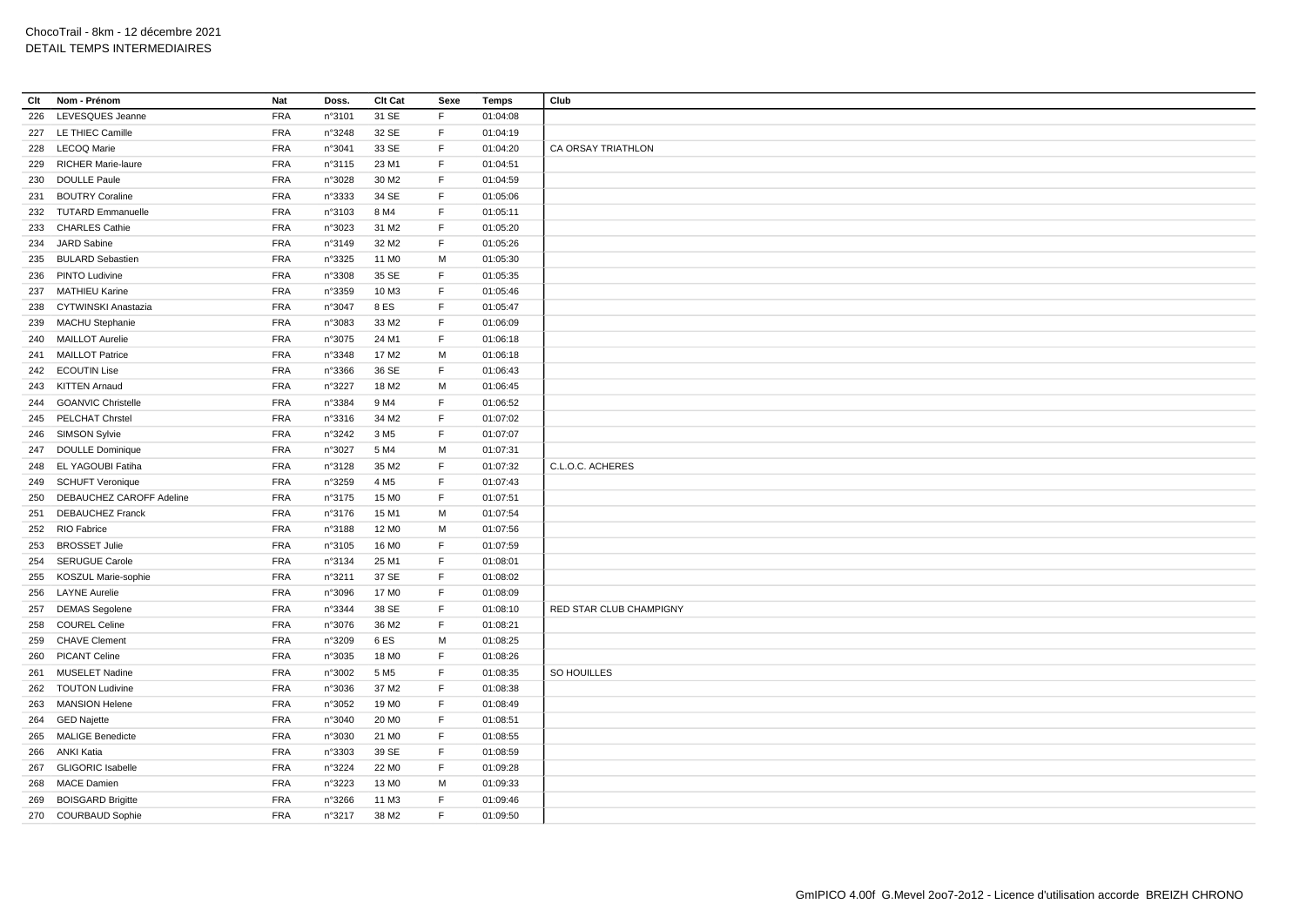| Clt | Nom - Prénom              | Nat        | Doss.  | Clt Cat           | Sexe        | <b>Temps</b> | Club                    |
|-----|---------------------------|------------|--------|-------------------|-------------|--------------|-------------------------|
| 226 | LEVESQUES Jeanne          | <b>FRA</b> | n°3101 | 31 SE             | F           | 01:04:08     |                         |
|     | 227 LE THIEC Camille      | <b>FRA</b> | n°3248 | 32 SE             | F.          | 01:04:19     |                         |
|     | 228 LECOQ Marie           | <b>FRA</b> | n°3041 | 33 SE             | F           | 01:04:20     | CA ORSAY TRIATHLON      |
| 229 | <b>RICHER Marie-laure</b> | <b>FRA</b> | n°3115 | 23 M1             | F           | 01:04:51     |                         |
| 230 | <b>DOULLE Paule</b>       | <b>FRA</b> | n°3028 | 30 M <sub>2</sub> | F           | 01:04:59     |                         |
|     | 231 BOUTRY Coraline       | <b>FRA</b> | n°3333 | 34 SE             | $\mathsf F$ | 01:05:06     |                         |
|     | 232 TUTARD Emmanuelle     | <b>FRA</b> | n°3103 | 8 M4              | E           | 01:05:11     |                         |
| 233 | <b>CHARLES Cathie</b>     | <b>FRA</b> | n°3023 | 31 M2             | F           | 01:05:20     |                         |
|     | 234 JARD Sabine           | <b>FRA</b> | n°3149 | 32 M2             | F           | 01:05:26     |                         |
| 235 | <b>BULARD Sebastien</b>   | <b>FRA</b> | n°3325 | 11 M <sub>0</sub> | M           | 01:05:30     |                         |
| 236 | <b>PINTO Ludivine</b>     | <b>FRA</b> | n°3308 | 35 SE             | F           | 01:05:35     |                         |
| 237 | <b>MATHIEU Karine</b>     | <b>FRA</b> | n°3359 | 10 M3             | F           | 01:05:46     |                         |
| 238 | CYTWINSKI Anastazia       | <b>FRA</b> | n°3047 | 8 ES              | F           | 01:05:47     |                         |
| 239 | <b>MACHU Stephanie</b>    | <b>FRA</b> | n°3083 | 33 M2             | F           | 01:06:09     |                         |
|     | 240 MAILLOT Aurelie       | <b>FRA</b> | n°3075 | 24 M1             | F           | 01:06:18     |                         |
|     | 241 MAILLOT Patrice       | <b>FRA</b> | n°3348 | 17 M <sub>2</sub> | M           | 01:06:18     |                         |
| 242 | <b>ECOUTIN Lise</b>       | <b>FRA</b> | n°3366 | 36 SE             | F           | 01:06:43     |                         |
|     | 243 KITTEN Arnaud         | <b>FRA</b> | n°3227 | 18 M2             | М           | 01:06:45     |                         |
| 244 | <b>GOANVIC Christelle</b> | <b>FRA</b> | n°3384 | 9 M4              | F           | 01:06:52     |                         |
|     | 245 PELCHAT Chrstel       | <b>FRA</b> | n°3316 | 34 M2             | F           | 01:07:02     |                         |
|     | <b>SIMSON Sylvie</b>      | <b>FRA</b> | n°3242 | 3 M <sub>5</sub>  | F           | 01:07:07     |                         |
| 246 |                           |            |        |                   |             |              |                         |
|     | 247 DOULLE Dominique      | <b>FRA</b> | n°3027 | 5 M4              | M           | 01:07:31     |                         |
| 248 | EL YAGOUBI Fatiha         | <b>FRA</b> | n°3128 | 35 M2             | F           | 01:07:32     | C.L.O.C. ACHERES        |
| 249 | <b>SCHUFT Veronique</b>   | FRA        | n°3259 | 4 M <sub>5</sub>  | F           | 01:07:43     |                         |
| 250 | DEBAUCHEZ CAROFF Adeline  | <b>FRA</b> | n°3175 | 15 MO             | F           | 01:07:51     |                         |
| 251 | <b>DEBAUCHEZ Franck</b>   | <b>FRA</b> | n°3176 | 15 M1             | M           | 01:07:54     |                         |
| 252 | RIO Fabrice               | <b>FRA</b> | n°3188 | 12 M <sub>0</sub> | M           | 01:07:56     |                         |
| 253 | <b>BROSSET Julie</b>      | <b>FRA</b> | n°3105 | 16 M <sub>0</sub> | F           | 01:07:59     |                         |
| 254 | <b>SERUGUE Carole</b>     | <b>FRA</b> | n°3134 | 25 M1             | F           | 01:08:01     |                         |
| 255 | KOSZUL Marie-sophie       | <b>FRA</b> | n°3211 | 37 SE             | F           | 01:08:02     |                         |
| 256 | <b>LAYNE Aurelie</b>      | <b>FRA</b> | n°3096 | 17 M <sub>0</sub> | F           | 01:08:09     |                         |
| 257 | <b>DEMAS</b> Segolene     | <b>FRA</b> | n°3344 | 38 SE             | $\mathsf F$ | 01:08:10     | RED STAR CLUB CHAMPIGNY |
| 258 | <b>COUREL Celine</b>      | <b>FRA</b> | n°3076 | 36 M2             | F           | 01:08:21     |                         |
| 259 | <b>CHAVE Clement</b>      | <b>FRA</b> | n°3209 | 6ES               | M           | 01:08:25     |                         |
| 260 | PICANT Celine             | <b>FRA</b> | n°3035 | 18 M <sub>0</sub> | F           | 01:08:26     |                         |
| 261 | <b>MUSELET Nadine</b>     | <b>FRA</b> | n°3002 | 5 M <sub>5</sub>  | F           | 01:08:35     | SO HOUILLES             |
| 262 | <b>TOUTON Ludivine</b>    | <b>FRA</b> | n°3036 | 37 M2             | F           | 01:08:38     |                         |
| 263 | <b>MANSION Helene</b>     | <b>FRA</b> | n°3052 | 19 MO             | F           | 01:08:49     |                         |
|     | 264 GED Najette           | <b>FRA</b> | n°3040 | 20 MO             | F           | 01:08:51     |                         |
| 265 | <b>MALIGE Benedicte</b>   | <b>FRA</b> | n°3030 | 21 M <sub>0</sub> | F           | 01:08:55     |                         |
| 266 | ANKI Katia                | <b>FRA</b> | n°3303 | 39 SE             | F           | 01:08:59     |                         |
| 267 | <b>GLIGORIC Isabelle</b>  | <b>FRA</b> | n°3224 | 22 M <sub>0</sub> | F           | 01:09:28     |                         |
| 268 | <b>MACE Damien</b>        | FRA        | n°3223 | 13 M <sub>0</sub> | M           | 01:09:33     |                         |
| 269 | <b>BOISGARD Brigitte</b>  | <b>FRA</b> | n°3266 | 11 M3             | E           | 01:09:46     |                         |
|     | 270 COURBAUD Sophie       | <b>FRA</b> | n°3217 | 38 M2             | F.          | 01:09:50     |                         |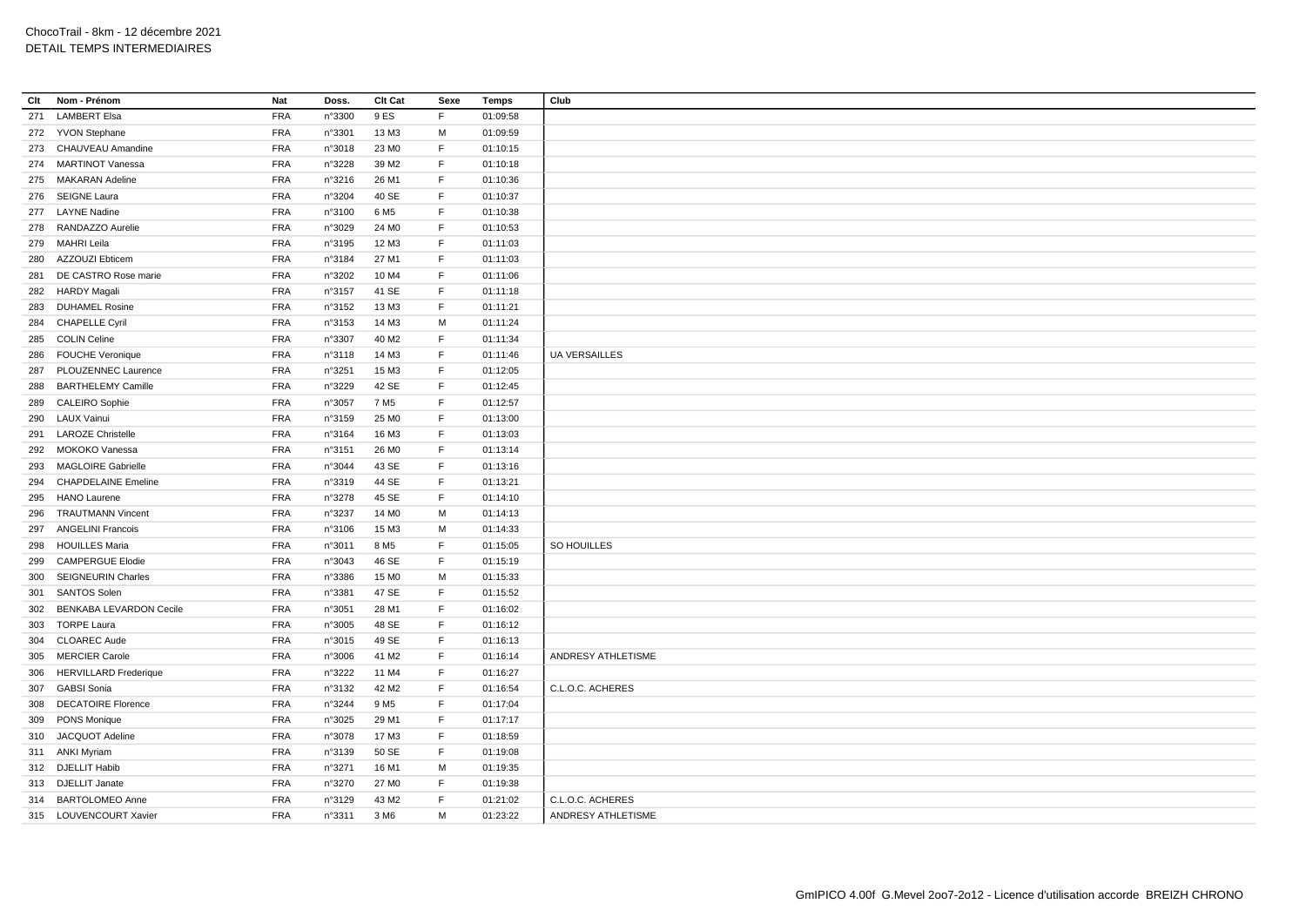| Clt | Nom - Prénom               | Nat        | Doss.  | Clt Cat           | Sexe        | <b>Temps</b> | Club                 |
|-----|----------------------------|------------|--------|-------------------|-------------|--------------|----------------------|
| 271 | <b>LAMBERT Elsa</b>        | <b>FRA</b> | n°3300 | 9 ES              | F           | 01:09:58     |                      |
|     | 272 YVON Stephane          | <b>FRA</b> | n°3301 | 13 M3             | M           | 01:09:59     |                      |
|     | 273 CHAUVEAU Amandine      | <b>FRA</b> | n°3018 | 23 MO             | F           | 01:10:15     |                      |
|     | 274 MARTINOT Vanessa       | <b>FRA</b> | n°3228 | 39 M2             | F           | 01:10:18     |                      |
|     | 275 MAKARAN Adeline        | <b>FRA</b> | n°3216 | 26 M1             | F           | 01:10:36     |                      |
|     | 276 SEIGNE Laura           | <b>FRA</b> | n°3204 | 40 SE             | F           | 01:10:37     |                      |
|     | 277 LAYNE Nadine           | <b>FRA</b> | n°3100 | 6 M <sub>5</sub>  | E           | 01:10:38     |                      |
| 278 | RANDAZZO Aurelie           | <b>FRA</b> | n°3029 | 24 M <sub>0</sub> | F           | 01:10:53     |                      |
| 279 | <b>MAHRI Leila</b>         | <b>FRA</b> | n°3195 | 12 M3             | $\mathsf F$ | 01:11:03     |                      |
| 280 | AZZOUZI Ebticem            | <b>FRA</b> | n°3184 | 27 M1             | F.          | 01:11:03     |                      |
| 281 | DE CASTRO Rose marie       | <b>FRA</b> | n°3202 | 10 M4             | -F          | 01:11:06     |                      |
|     | 282 HARDY Magali           | <b>FRA</b> | n°3157 | 41 SE             | F           | 01:11:18     |                      |
|     | <b>DUHAMEL Rosine</b>      | <b>FRA</b> | n°3152 | 13 M3             | F           | 01:11:21     |                      |
| 283 |                            |            |        |                   |             |              |                      |
| 284 | <b>CHAPELLE Cyril</b>      | <b>FRA</b> | n°3153 | 14 M3             | M           | 01:11:24     |                      |
|     | 285 COLIN Celine           | <b>FRA</b> | n°3307 | 40 M <sub>2</sub> | F.          | 01:11:34     |                      |
| 286 | <b>FOUCHE Veronique</b>    | <b>FRA</b> | n°3118 | 14 M3             | F           | 01:11:46     | <b>UA VERSAILLES</b> |
| 287 | PLOUZENNEC Laurence        | <b>FRA</b> | n°3251 | 15 M3             | F           | 01:12:05     |                      |
| 288 | <b>BARTHELEMY Camille</b>  | <b>FRA</b> | n°3229 | 42 SE             | F           | 01:12:45     |                      |
| 289 | <b>CALEIRO</b> Sophie      | <b>FRA</b> | n°3057 | 7 M <sub>5</sub>  | F           | 01:12:57     |                      |
| 290 | <b>LAUX Vainui</b>         | <b>FRA</b> | n°3159 | 25 MO             | F.          | 01:13:00     |                      |
|     | 291 LAROZE Christelle      | <b>FRA</b> | n°3164 | 16 M3             | F.          | 01:13:03     |                      |
| 292 | MOKOKO Vanessa             | <b>FRA</b> | n°3151 | 26 MO             | F           | 01:13:14     |                      |
| 293 | <b>MAGLOIRE Gabrielle</b>  | <b>FRA</b> | n°3044 | 43 SE             | F           | 01:13:16     |                      |
| 294 | <b>CHAPDELAINE Emeline</b> | <b>FRA</b> | n°3319 | 44 SE             | F           | 01:13:21     |                      |
| 295 | <b>HANO Laurene</b>        | <b>FRA</b> | n°3278 | 45 SE             | F           | 01:14:10     |                      |
| 296 | <b>TRAUTMANN Vincent</b>   | <b>FRA</b> | n°3237 | 14 M <sub>0</sub> | М           | 01:14:13     |                      |
|     | 297 ANGELINI Francois      | <b>FRA</b> | n°3106 | 15 M3             | M           | 01:14:33     |                      |
| 298 | <b>HOUILLES Maria</b>      | <b>FRA</b> | n°3011 | 8 M <sub>5</sub>  | E           | 01:15:05     | SO HOUILLES          |
| 299 | <b>CAMPERGUE Elodie</b>    | <b>FRA</b> | n°3043 | 46 SE             | F.          | 01:15:19     |                      |
| 300 | <b>SEIGNEURIN Charles</b>  | <b>FRA</b> | n°3386 | 15 MO             | M           | 01:15:33     |                      |
| 301 | <b>SANTOS Solen</b>        | <b>FRA</b> | n°3381 | 47 SE             | F           | 01:15:52     |                      |
| 302 | BENKABA LEVARDON Cecile    | <b>FRA</b> | n°3051 | 28 M1             | F           | 01:16:02     |                      |
| 303 | <b>TORPE Laura</b>         | <b>FRA</b> | n°3005 | 48 SE             | F           | 01:16:12     |                      |
|     | 304 CLOAREC Aude           | <b>FRA</b> | n°3015 | 49 SE             | F           | 01:16:13     |                      |
| 305 | <b>MERCIER Carole</b>      | FRA        | n°3006 | 41 M2             | F           | 01:16:14     | ANDRESY ATHLETISME   |
|     | 306 HERVILLARD Frederique  | <b>FRA</b> | n°3222 | 11 M4             | F           | 01:16:27     |                      |
| 307 | <b>GABSI Sonia</b>         | <b>FRA</b> | n°3132 | 42 M <sub>2</sub> | F           | 01:16:54     | C.L.O.C. ACHERES     |
| 308 | <b>DECATOIRE Florence</b>  | <b>FRA</b> | n°3244 | 9 M <sub>5</sub>  | F           | 01:17:04     |                      |
| 309 | <b>PONS Monique</b>        | <b>FRA</b> | n°3025 | 29 M1             | F           | 01:17:17     |                      |
| 310 | JACQUOT Adeline            | <b>FRA</b> | n°3078 | 17 M3             | F           | 01:18:59     |                      |
|     | 311 ANKI Myriam            | <b>FRA</b> | n°3139 | 50 SE             | F           | 01:19:08     |                      |
|     | 312 DJELLIT Habib          | <b>FRA</b> | n°3271 | 16 M1             | M           | 01:19:35     |                      |
|     | 313 DJELLIT Janate         | <b>FRA</b> | n°3270 | 27 M <sub>0</sub> | F           | 01:19:38     |                      |
|     | 314 BARTOLOMEO Anne        | <b>FRA</b> | n°3129 | 43 M2             | E           | 01:21:02     | C.L.O.C. ACHERES     |
|     | 315 LOUVENCOURT Xavier     | <b>FRA</b> | n°3311 | 3 M <sub>6</sub>  | M           | 01:23:22     | ANDRESY ATHLETISME   |
|     |                            |            |        |                   |             |              |                      |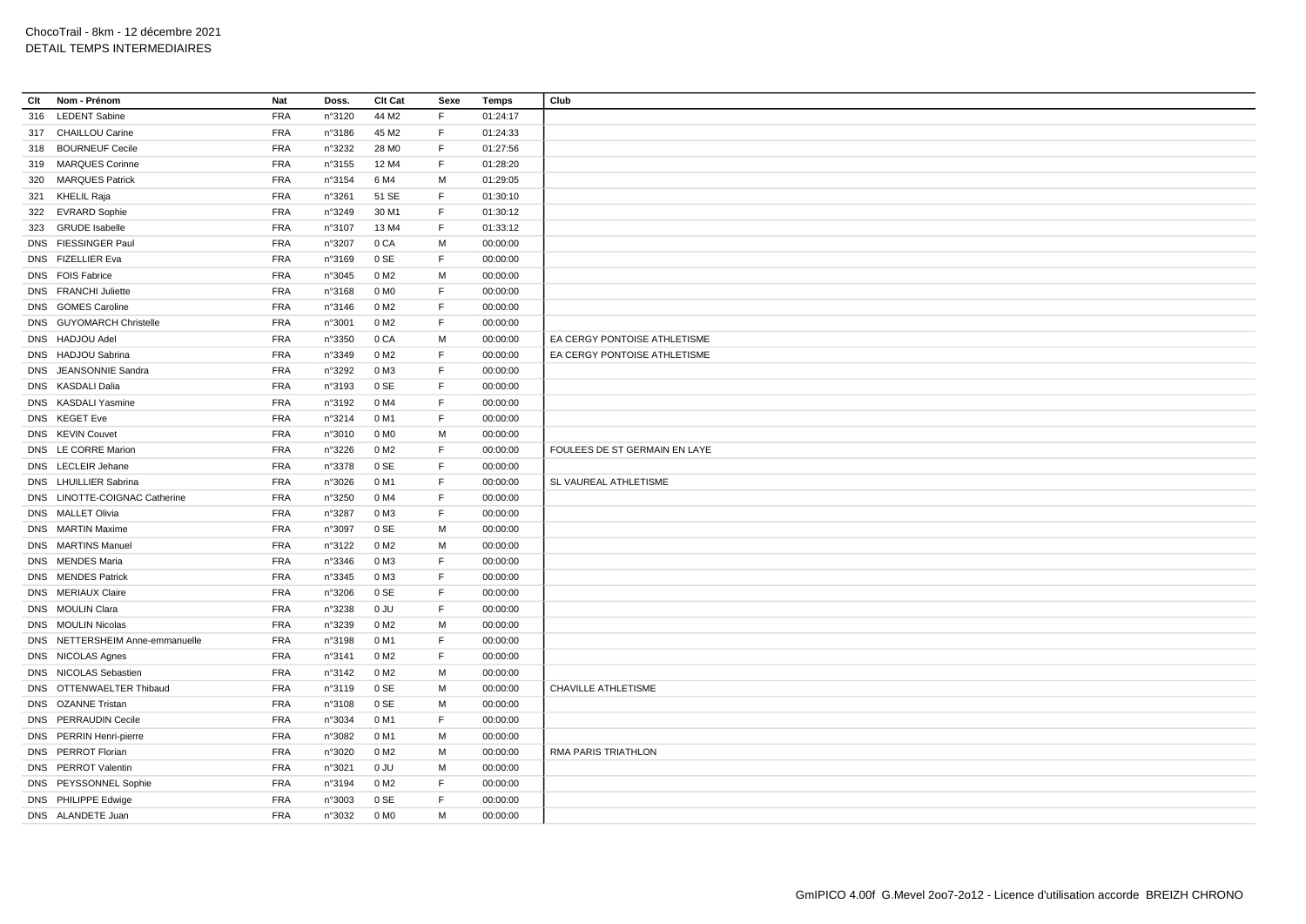| Clt | Nom - Prénom                    | Nat        | Doss.  | Clt Cat           | Sexe        | <b>Temps</b> | Club                          |
|-----|---------------------------------|------------|--------|-------------------|-------------|--------------|-------------------------------|
| 316 | <b>LEDENT Sabine</b>            | <b>FRA</b> | n°3120 | 44 M2             | F           | 01:24:17     |                               |
|     | 317 CHAILLOU Carine             | <b>FRA</b> | n°3186 | 45 M2             | F.          | 01:24:33     |                               |
| 318 | <b>BOURNEUF Cecile</b>          | <b>FRA</b> | n°3232 | 28 M <sub>0</sub> | F           | 01:27:56     |                               |
| 319 | <b>MARQUES Corinne</b>          | <b>FRA</b> | n°3155 | 12 M4             | F           | 01:28:20     |                               |
| 320 | <b>MARQUES Patrick</b>          | <b>FRA</b> | n°3154 | 6 M4              | M           | 01:29:05     |                               |
|     | 321 KHELIL Raja                 | <b>FRA</b> | n°3261 | 51 SE             | F           | 01:30:10     |                               |
|     | 322 EVRARD Sophie               | <b>FRA</b> | n°3249 | 30 M1             | F           | 01:30:12     |                               |
| 323 | <b>GRUDE</b> Isabelle           | <b>FRA</b> | n°3107 | 13 M4             | F.          | 01:33:12     |                               |
|     | DNS FIESSINGER Paul             | <b>FRA</b> | n°3207 | 0 CA              | M           | 00:00:00     |                               |
|     | DNS FIZELLIER Eva               | <b>FRA</b> | n°3169 | 0 SE              | F           | 00:00:00     |                               |
|     | DNS FOIS Fabrice                | <b>FRA</b> | n°3045 | 0 M2              | M           | 00:00:00     |                               |
|     | DNS FRANCHI Juliette            | <b>FRA</b> | n°3168 | 0 M <sub>0</sub>  | F           | 00:00:00     |                               |
|     | DNS GOMES Caroline              | <b>FRA</b> | n°3146 | 0 M <sub>2</sub>  | F           | 00:00:00     |                               |
|     | DNS GUYOMARCH Christelle        | <b>FRA</b> | n°3001 | 0 M <sub>2</sub>  | F           | 00:00:00     |                               |
|     | DNS HADJOU Adel                 | <b>FRA</b> | n°3350 | 0 CA              | M           | 00:00:00     | EA CERGY PONTOISE ATHLETISME  |
|     | DNS HADJOU Sabrina              | <b>FRA</b> | n°3349 | 0 M <sub>2</sub>  | F           | 00:00:00     | EA CERGY PONTOISE ATHLETISME  |
|     | DNS JEANSONNIE Sandra           | <b>FRA</b> | n°3292 | 0 M3              | F           | 00:00:00     |                               |
|     | DNS KASDALI Dalia               | <b>FRA</b> | n°3193 | 0 SE              | F           | 00:00:00     |                               |
|     | DNS KASDALI Yasmine             | <b>FRA</b> | n°3192 | 0 M4              | $\mathsf F$ | 00:00:00     |                               |
|     | DNS KEGET Eve                   | FRA        | n°3214 | 0 M1              | $\mathsf F$ | 00:00:00     |                               |
|     | DNS KEVIN Couvet                | <b>FRA</b> | n°3010 | 0 M <sub>0</sub>  | M           | 00:00:00     |                               |
|     | DNS LE CORRE Marion             | <b>FRA</b> | n°3226 | 0 M2              | F           | 00:00:00     | FOULEES DE ST GERMAIN EN LAYE |
|     | DNS LECLEIR Jehane              | <b>FRA</b> | n°3378 | 0 SE              | F           | 00:00:00     |                               |
|     | DNS LHUILLIER Sabrina           | <b>FRA</b> | n°3026 | 0 M1              | $\mathsf F$ | 00:00:00     | SL VAUREAL ATHLETISME         |
|     | DNS LINOTTE-COIGNAC Catherine   | <b>FRA</b> | n°3250 | 0 M4              | F           | 00:00:00     |                               |
|     | DNS MALLET Olivia               | <b>FRA</b> | n°3287 | 0 M3              | $\mathsf F$ | 00:00:00     |                               |
|     | DNS MARTIN Maxime               | <b>FRA</b> | n°3097 | 0 SE              | M           | 00:00:00     |                               |
|     | DNS MARTINS Manuel              | <b>FRA</b> | n°3122 | 0 M <sub>2</sub>  | M           | 00:00:00     |                               |
|     | DNS MENDES Maria                | <b>FRA</b> | n°3346 | 0 M3              | F           | 00:00:00     |                               |
|     | DNS MENDES Patrick              | <b>FRA</b> | n°3345 | 0 M3              | F           | 00:00:00     |                               |
|     | DNS MERIAUX Claire              | <b>FRA</b> | n°3206 | 0 SE              | F           | 00:00:00     |                               |
|     | DNS MOULIN Clara                | <b>FRA</b> | n°3238 | 0 JU              | F           | 00:00:00     |                               |
|     | DNS MOULIN Nicolas              | <b>FRA</b> | n°3239 | 0 M2              | M           | 00:00:00     |                               |
|     | DNS NETTERSHEIM Anne-emmanuelle | <b>FRA</b> | n°3198 | 0 M1              | F           | 00:00:00     |                               |
|     | DNS NICOLAS Agnes               | <b>FRA</b> | n°3141 | 0 M <sub>2</sub>  | F           | 00:00:00     |                               |
|     | DNS NICOLAS Sebastien           | <b>FRA</b> | n°3142 | 0 M <sub>2</sub>  | M           | 00:00:00     |                               |
|     | DNS OTTENWAELTER Thibaud        | <b>FRA</b> | n°3119 | 0 SE              | M           | 00:00:00     | CHAVILLE ATHLETISME           |
|     | DNS OZANNE Tristan              | <b>FRA</b> | n°3108 | 0 SE              | M           | 00:00:00     |                               |
|     | DNS PERRAUDIN Cecile            | <b>FRA</b> | n°3034 | 0 M1              | F           | 00:00:00     |                               |
|     | DNS PERRIN Henri-pierre         | <b>FRA</b> | n°3082 | 0 M1              | M           | 00:00:00     |                               |
|     | DNS PERROT Florian              | <b>FRA</b> | n°3020 | 0 M <sub>2</sub>  | M           | 00:00:00     | RMA PARIS TRIATHLON           |
|     | DNS PERROT Valentin             | <b>FRA</b> | n°3021 | 0 JU              | M           | 00:00:00     |                               |
|     | DNS PEYSSONNEL Sophie           | <b>FRA</b> | n°3194 | 0 M <sub>2</sub>  | F           | 00:00:00     |                               |
|     | DNS PHILIPPE Edwige             | <b>FRA</b> | n°3003 | 0 SE              | F           | 00:00:00     |                               |
|     | DNS ALANDETE Juan               | <b>FRA</b> | n°3032 | 0 M <sub>0</sub>  | M           | 00:00:00     |                               |
|     |                                 |            |        |                   |             |              |                               |